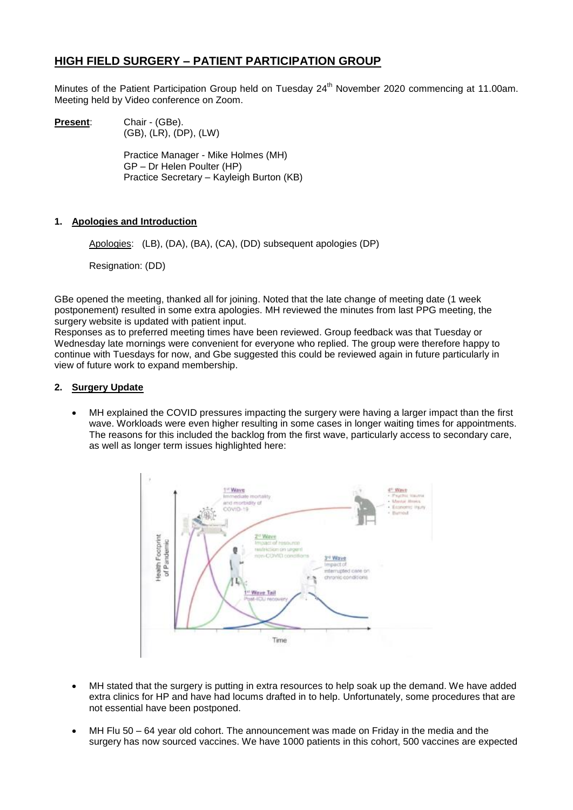# **HIGH FIELD SURGERY – PATIENT PARTICIPATION GROUP**

Minutes of the Patient Participation Group held on Tuesday 24<sup>th</sup> November 2020 commencing at 11.00am. Meeting held by Video conference on Zoom.

**Present:** Chair - (GBe). (GB), (LR), (DP), (LW)

> Practice Manager - Mike Holmes (MH) GP – Dr Helen Poulter (HP) Practice Secretary – Kayleigh Burton (KB)

# **1. Apologies and Introduction**

Apologies: (LB), (DA), (BA), (CA), (DD) subsequent apologies (DP)

Resignation: (DD)

GBe opened the meeting, thanked all for joining. Noted that the late change of meeting date (1 week postponement) resulted in some extra apologies. MH reviewed the minutes from last PPG meeting, the surgery website is updated with patient input.

Responses as to preferred meeting times have been reviewed. Group feedback was that Tuesday or Wednesday late mornings were convenient for everyone who replied. The group were therefore happy to continue with Tuesdays for now, and Gbe suggested this could be reviewed again in future particularly in view of future work to expand membership.

### **2. Surgery Update**

 MH explained the COVID pressures impacting the surgery were having a larger impact than the first wave. Workloads were even higher resulting in some cases in longer waiting times for appointments. The reasons for this included the backlog from the first wave, particularly access to secondary care, as well as longer term issues highlighted here:



- MH stated that the surgery is putting in extra resources to help soak up the demand. We have added extra clinics for HP and have had locums drafted in to help. Unfortunately, some procedures that are not essential have been postponed.
- MH Flu 50 64 year old cohort. The announcement was made on Friday in the media and the surgery has now sourced vaccines. We have 1000 patients in this cohort, 500 vaccines are expected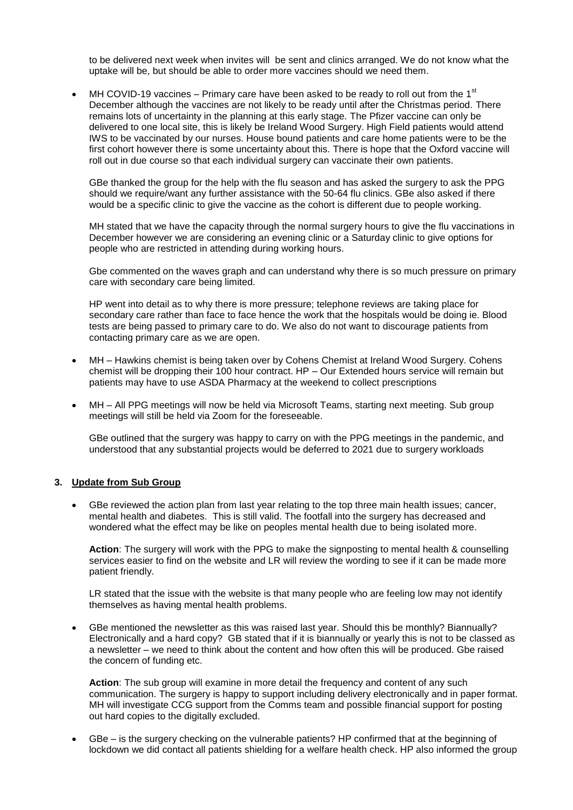to be delivered next week when invites will be sent and clinics arranged. We do not know what the uptake will be, but should be able to order more vaccines should we need them.

 $\bullet$  MH COVID-19 vaccines – Primary care have been asked to be ready to roll out from the 1<sup>st</sup> December although the vaccines are not likely to be ready until after the Christmas period. There remains lots of uncertainty in the planning at this early stage. The Pfizer vaccine can only be delivered to one local site, this is likely be Ireland Wood Surgery. High Field patients would attend IWS to be vaccinated by our nurses. House bound patients and care home patients were to be the first cohort however there is some uncertainty about this. There is hope that the Oxford vaccine will roll out in due course so that each individual surgery can vaccinate their own patients.

GBe thanked the group for the help with the flu season and has asked the surgery to ask the PPG should we require/want any further assistance with the 50-64 flu clinics. GBe also asked if there would be a specific clinic to give the vaccine as the cohort is different due to people working.

MH stated that we have the capacity through the normal surgery hours to give the flu vaccinations in December however we are considering an evening clinic or a Saturday clinic to give options for people who are restricted in attending during working hours.

Gbe commented on the waves graph and can understand why there is so much pressure on primary care with secondary care being limited.

HP went into detail as to why there is more pressure; telephone reviews are taking place for secondary care rather than face to face hence the work that the hospitals would be doing ie. Blood tests are being passed to primary care to do. We also do not want to discourage patients from contacting primary care as we are open.

- MH Hawkins chemist is being taken over by Cohens Chemist at Ireland Wood Surgery. Cohens chemist will be dropping their 100 hour contract. HP – Our Extended hours service will remain but patients may have to use ASDA Pharmacy at the weekend to collect prescriptions
- MH All PPG meetings will now be held via Microsoft Teams, starting next meeting. Sub group meetings will still be held via Zoom for the foreseeable.

GBe outlined that the surgery was happy to carry on with the PPG meetings in the pandemic, and understood that any substantial projects would be deferred to 2021 due to surgery workloads

#### **3. Update from Sub Group**

 GBe reviewed the action plan from last year relating to the top three main health issues; cancer, mental health and diabetes. This is still valid. The footfall into the surgery has decreased and wondered what the effect may be like on peoples mental health due to being isolated more.

**Action**: The surgery will work with the PPG to make the signposting to mental health & counselling services easier to find on the website and LR will review the wording to see if it can be made more patient friendly.

LR stated that the issue with the website is that many people who are feeling low may not identify themselves as having mental health problems.

 GBe mentioned the newsletter as this was raised last year. Should this be monthly? Biannually? Electronically and a hard copy? GB stated that if it is biannually or yearly this is not to be classed as a newsletter – we need to think about the content and how often this will be produced. Gbe raised the concern of funding etc.

**Action**: The sub group will examine in more detail the frequency and content of any such communication. The surgery is happy to support including delivery electronically and in paper format. MH will investigate CCG support from the Comms team and possible financial support for posting out hard copies to the digitally excluded.

 GBe – is the surgery checking on the vulnerable patients? HP confirmed that at the beginning of lockdown we did contact all patients shielding for a welfare health check. HP also informed the group